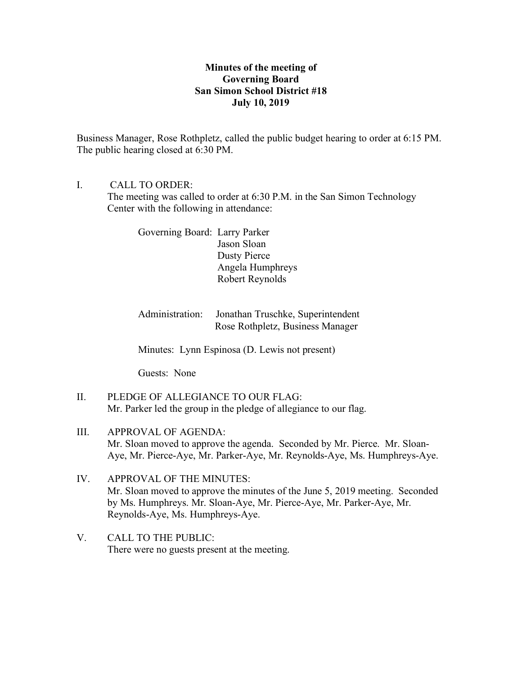# **Minutes of the meeting of Governing Board San Simon School District #18 July 10, 2019**

Business Manager, Rose Rothpletz, called the public budget hearing to order at 6:15 PM. The public hearing closed at 6:30 PM.

I. CALL TO ORDER:

The meeting was called to order at 6:30 P.M. in the San Simon Technology Center with the following in attendance:

Governing Board: Larry Parker Jason Sloan Dusty Pierce Angela Humphreys Robert Reynolds

Administration: Jonathan Truschke, Superintendent Rose Rothpletz, Business Manager

Minutes: Lynn Espinosa (D. Lewis not present)

Guests: None

- II. PLEDGE OF ALLEGIANCE TO OUR FLAG: Mr. Parker led the group in the pledge of allegiance to our flag.
- III. APPROVAL OF AGENDA: Mr. Sloan moved to approve the agenda. Seconded by Mr. Pierce. Mr. Sloan-Aye, Mr. Pierce-Aye, Mr. Parker-Aye, Mr. Reynolds-Aye, Ms. Humphreys-Aye.
- IV. APPROVAL OF THE MINUTES: Mr. Sloan moved to approve the minutes of the June 5, 2019 meeting. Seconded by Ms. Humphreys. Mr. Sloan-Aye, Mr. Pierce-Aye, Mr. Parker-Aye, Mr. Reynolds-Aye, Ms. Humphreys-Aye.
- V. CALL TO THE PUBLIC: There were no guests present at the meeting.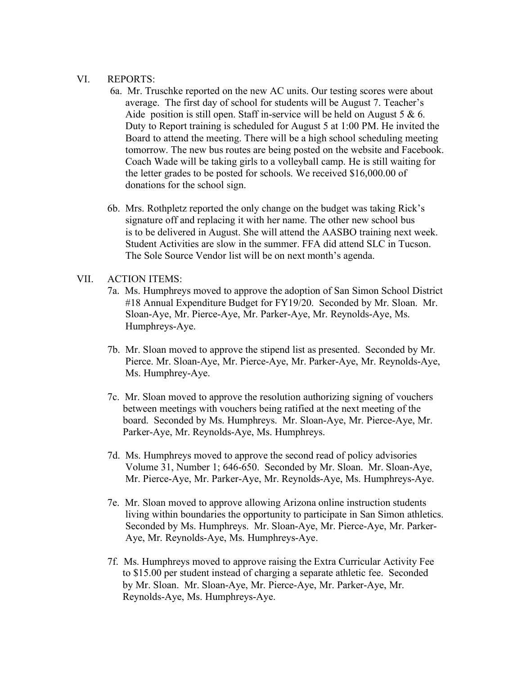#### VI. REPORTS:

- 6a. Mr. Truschke reported on the new AC units. Our testing scores were about average. The first day of school for students will be August 7. Teacher's Aide position is still open. Staff in-service will be held on August 5  $\&$  6. Duty to Report training is scheduled for August 5 at 1:00 PM. He invited the Board to attend the meeting. There will be a high school scheduling meeting tomorrow. The new bus routes are being posted on the website and Facebook. Coach Wade will be taking girls to a volleyball camp. He is still waiting for the letter grades to be posted for schools. We received \$16,000.00 of donations for the school sign.
- 6b. Mrs. Rothpletz reported the only change on the budget was taking Rick's signature off and replacing it with her name. The other new school bus is to be delivered in August. She will attend the AASBO training next week. Student Activities are slow in the summer. FFA did attend SLC in Tucson. The Sole Source Vendor list will be on next month's agenda.

## VII. ACTION ITEMS:

- 7a. Ms. Humphreys moved to approve the adoption of San Simon School District #18 Annual Expenditure Budget for FY19/20. Seconded by Mr. Sloan. Mr. Sloan-Aye, Mr. Pierce-Aye, Mr. Parker-Aye, Mr. Reynolds-Aye, Ms. Humphreys-Aye.
- 7b. Mr. Sloan moved to approve the stipend list as presented. Seconded by Mr. Pierce. Mr. Sloan-Aye, Mr. Pierce-Aye, Mr. Parker-Aye, Mr. Reynolds-Aye, Ms. Humphrey-Aye.
- 7c. Mr. Sloan moved to approve the resolution authorizing signing of vouchers between meetings with vouchers being ratified at the next meeting of the board. Seconded by Ms. Humphreys. Mr. Sloan-Aye, Mr. Pierce-Aye, Mr. Parker-Aye, Mr. Reynolds-Aye, Ms. Humphreys.
- 7d. Ms. Humphreys moved to approve the second read of policy advisories Volume 31, Number 1; 646-650. Seconded by Mr. Sloan. Mr. Sloan-Aye, Mr. Pierce-Aye, Mr. Parker-Aye, Mr. Reynolds-Aye, Ms. Humphreys-Aye.
- 7e. Mr. Sloan moved to approve allowing Arizona online instruction students living within boundaries the opportunity to participate in San Simon athletics. Seconded by Ms. Humphreys. Mr. Sloan-Aye, Mr. Pierce-Aye, Mr. Parker- Aye, Mr. Reynolds-Aye, Ms. Humphreys-Aye.
- 7f. Ms. Humphreys moved to approve raising the Extra Curricular Activity Fee to \$15.00 per student instead of charging a separate athletic fee. Seconded by Mr. Sloan. Mr. Sloan-Aye, Mr. Pierce-Aye, Mr. Parker-Aye, Mr. Reynolds-Aye, Ms. Humphreys-Aye.